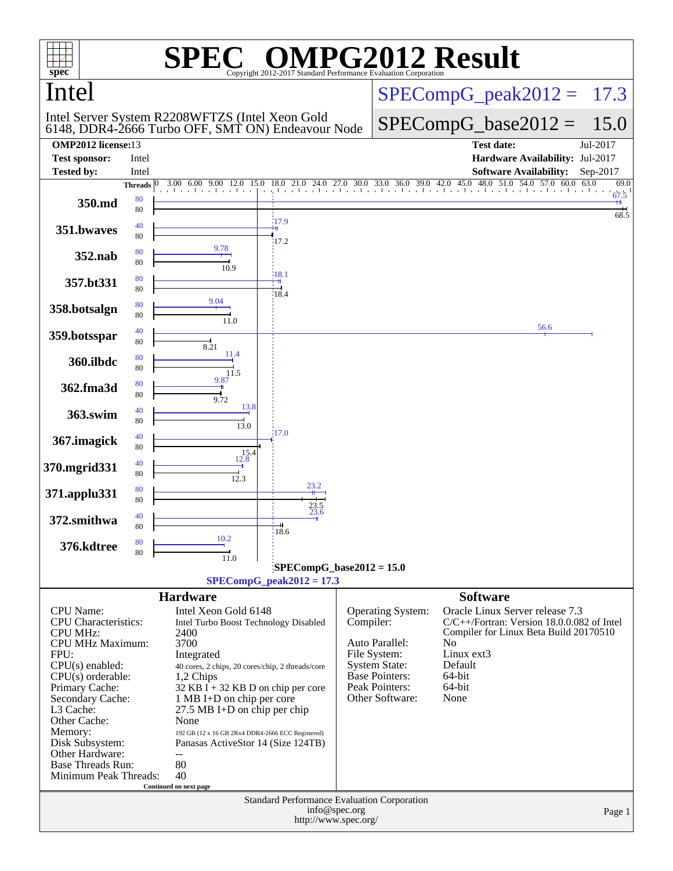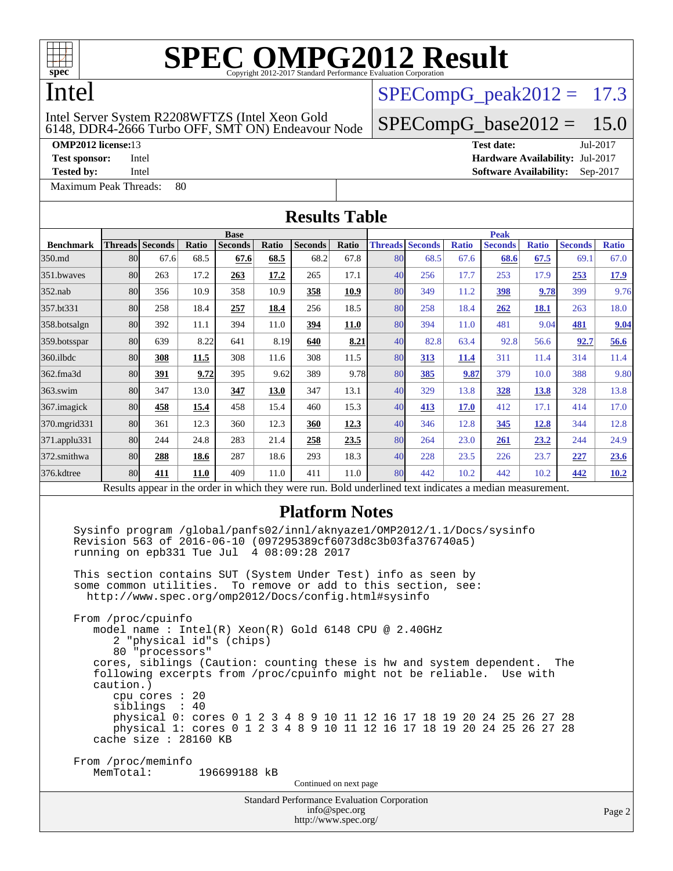

## Intel

### 6148, DDR4-2666 Turbo OFF, SMT ON) Endeavour Node Intel Server System R2208WFTZS (Intel Xeon Gold

[Maximum Peak Threads:](http://www.spec.org/auto/omp2012/Docs/result-fields.html#MaximumPeakThreads) 80

 $SPECompG_peak2012 = 17.3$  $SPECompG_peak2012 = 17.3$ 

### $SPECompG_base2012 = 15.0$  $SPECompG_base2012 = 15.0$

**[OMP2012 license:](http://www.spec.org/auto/omp2012/Docs/result-fields.html#OMP2012license)**13 **[Test date:](http://www.spec.org/auto/omp2012/Docs/result-fields.html#Testdate)** Jul-2017 **[Test sponsor:](http://www.spec.org/auto/omp2012/Docs/result-fields.html#Testsponsor)** Intel **[Hardware Availability:](http://www.spec.org/auto/omp2012/Docs/result-fields.html#HardwareAvailability)** Jul-2017

**[Tested by:](http://www.spec.org/auto/omp2012/Docs/result-fields.html#Testedby)** Intel **[Software Availability:](http://www.spec.org/auto/omp2012/Docs/result-fields.html#SoftwareAvailability)** Sep-2017

| <b>Results Table</b> |                                                                                                                                                                                                                                                                                                                                                                                                          |                                                    |       |                          |             |                                             |                                       |    |                                        |              |                                                                                                                                                                                                                                                                                                                                                                             |              |                |             |
|----------------------|----------------------------------------------------------------------------------------------------------------------------------------------------------------------------------------------------------------------------------------------------------------------------------------------------------------------------------------------------------------------------------------------------------|----------------------------------------------------|-------|--------------------------|-------------|---------------------------------------------|---------------------------------------|----|----------------------------------------|--------------|-----------------------------------------------------------------------------------------------------------------------------------------------------------------------------------------------------------------------------------------------------------------------------------------------------------------------------------------------------------------------------|--------------|----------------|-------------|
|                      |                                                                                                                                                                                                                                                                                                                                                                                                          |                                                    |       | <b>Base</b>              |             |                                             | <b>Peak</b>                           |    |                                        |              |                                                                                                                                                                                                                                                                                                                                                                             |              |                |             |
| <b>Benchmark</b>     | <b>Threads</b> Seconds                                                                                                                                                                                                                                                                                                                                                                                   |                                                    | Ratio | Seconds                  | Ratio       | <b>Seconds</b>                              | Ratio                                 |    | <b>Threads Seconds</b>                 | <b>Ratio</b> | <b>Seconds</b>                                                                                                                                                                                                                                                                                                                                                              | <b>Ratio</b> | <b>Seconds</b> | Ratio       |
| 350.md               | 80                                                                                                                                                                                                                                                                                                                                                                                                       | 67.6                                               | 68.5  | 67.6                     | 68.5        | 68.2                                        | 67.8                                  | 80 | 68.5                                   | 67.6         | 68.6                                                                                                                                                                                                                                                                                                                                                                        | 67.5         | 69.1           | 67.0        |
| 351.bwaves           | 80                                                                                                                                                                                                                                                                                                                                                                                                       | 263                                                | 17.2  | 263                      | 17.2        | 265                                         | 17.1                                  | 40 | 256                                    | 17.7         | 253                                                                                                                                                                                                                                                                                                                                                                         | 17.9         | 253            | <u>17.9</u> |
| 352.nab              | 80                                                                                                                                                                                                                                                                                                                                                                                                       | 356                                                | 10.9  | 358                      | 10.9        | 358                                         | 10.9                                  | 80 | 349                                    | 11.2         | 398                                                                                                                                                                                                                                                                                                                                                                         | 9.78         | 399            | 9.76        |
| 357.bt331            | 80                                                                                                                                                                                                                                                                                                                                                                                                       | 258                                                | 18.4  | 257                      | 18.4        | 256                                         | 18.5                                  | 80 | 258                                    | 18.4         | 262                                                                                                                                                                                                                                                                                                                                                                         | 18.1         | 263            | 18.0        |
| 358.botsalgn         | 80                                                                                                                                                                                                                                                                                                                                                                                                       | 392                                                | 11.1  | 394                      | 11.0        | 394                                         | <b>11.0</b>                           | 80 | 394                                    | 11.0         | 481                                                                                                                                                                                                                                                                                                                                                                         | 9.04         | 481            | 9.04        |
| 359.botsspar         | 80                                                                                                                                                                                                                                                                                                                                                                                                       | 639                                                | 8.22  | 641                      | 8.19        | 640                                         | 8.21                                  | 40 | 82.8                                   | 63.4         | 92.8                                                                                                                                                                                                                                                                                                                                                                        | 56.6         | 92.7           | 56.6        |
| 360.ilbdc            | 80                                                                                                                                                                                                                                                                                                                                                                                                       | 308                                                | 11.5  | 308                      | 11.6        | 308                                         | 11.5                                  | 80 | 313                                    | 11.4         | 311                                                                                                                                                                                                                                                                                                                                                                         | 11.4         | 314            | 11.4        |
| 362.fma3d            | 80                                                                                                                                                                                                                                                                                                                                                                                                       | 391                                                | 9.72  | 395                      | 9.62        | 389                                         | 9.78                                  | 80 | 385                                    | 9.87         | 379                                                                                                                                                                                                                                                                                                                                                                         | 10.0         | 388            | 9.80        |
| 363.swim             | 80                                                                                                                                                                                                                                                                                                                                                                                                       | 347                                                | 13.0  | 347                      | <b>13.0</b> | 347                                         | 13.1                                  | 40 | 329                                    | 13.8         | 328                                                                                                                                                                                                                                                                                                                                                                         | <b>13.8</b>  | 328            | 13.8        |
| 367.imagick          | 80                                                                                                                                                                                                                                                                                                                                                                                                       | 458                                                | 15.4  | 458                      | 15.4        | 460                                         | 15.3                                  | 40 | 413                                    | <b>17.0</b>  | 412                                                                                                                                                                                                                                                                                                                                                                         | 17.1         | 414            | 17.0        |
| 370.mgrid331         | 80                                                                                                                                                                                                                                                                                                                                                                                                       | 361                                                | 12.3  | 360                      | 12.3        | <b>360</b>                                  | 12.3                                  | 40 | 346                                    | 12.8         | 345                                                                                                                                                                                                                                                                                                                                                                         | <b>12.8</b>  | 344            | 12.8        |
| 371.applu331         | 80                                                                                                                                                                                                                                                                                                                                                                                                       | 244                                                | 24.8  | 283                      | 21.4        | 258                                         | 23.5                                  | 80 | 264                                    | 23.0         | 261                                                                                                                                                                                                                                                                                                                                                                         | 23.2         | 244            | 24.9        |
| 372.smithwa          | 80                                                                                                                                                                                                                                                                                                                                                                                                       | 288                                                | 18.6  | 287                      | 18.6        | 293                                         | 18.3                                  | 40 | 228                                    | 23.5         | 226                                                                                                                                                                                                                                                                                                                                                                         | 23.7         | 227            | 23.6        |
| 376.kdtree           | 80                                                                                                                                                                                                                                                                                                                                                                                                       | 411                                                | 11.0  | 409                      | 11.0        | 411                                         | 11.0                                  | 80 | 442                                    | 10.2         | 442                                                                                                                                                                                                                                                                                                                                                                         | 10.2         | 442            | 10.2        |
|                      |                                                                                                                                                                                                                                                                                                                                                                                                          |                                                    |       |                          |             |                                             |                                       |    |                                        |              | Results appear in the order in which they were run. Bold underlined text indicates a median measurement.                                                                                                                                                                                                                                                                    |              |                |             |
|                      | Revision 563 of 2016-06-10 (097295389cf6073d8c3b03fa376740a5)<br>running on epb331 Tue Jul 4 08:09:28 2017<br>This section contains SUT (System Under Test) info as seen by<br>some common utilities.<br>http://www.spec.org/omp2012/Docs/config.html#sysinfo<br>From /proc/cpuinfo<br>model name : Intel(R) Xeon(R) Gold 6148 CPU @ 2.40GHz<br>caution.)<br>cache size : 28160 KB<br>From /proc/meminfo | 80 "processors"<br>cpu cores : 20<br>siblings : 40 |       | 2 "physical id"s (chips) |             |                                             |                                       |    | To remove or add to this section, see: |              | Sysinfo program /global/panfs02/innl/aknyaze1/OMP2012/1.1/Docs/sysinfo<br>cores, siblings (Caution: counting these is hw and system dependent.<br>following excerpts from /proc/cpuinfo might not be reliable. Use with<br>physical 0: cores 0 1 2 3 4 8 9 10 11 12 16 17 18 19 20 24 25 26 27 28<br>physical 1: cores 0 1 2 3 4 8 9 10 11 12 16 17 18 19 20 24 25 26 27 28 |              | The            |             |
|                      | MemTotal:                                                                                                                                                                                                                                                                                                                                                                                                |                                                    |       | 196699188 kB             |             |                                             | Continued on next page                |    |                                        |              |                                                                                                                                                                                                                                                                                                                                                                             |              |                |             |
|                      |                                                                                                                                                                                                                                                                                                                                                                                                          |                                                    |       |                          |             | Standard Performance Evaluation Corporation | info@spec.org<br>http://www.spec.org/ |    |                                        |              |                                                                                                                                                                                                                                                                                                                                                                             |              |                | Page 2      |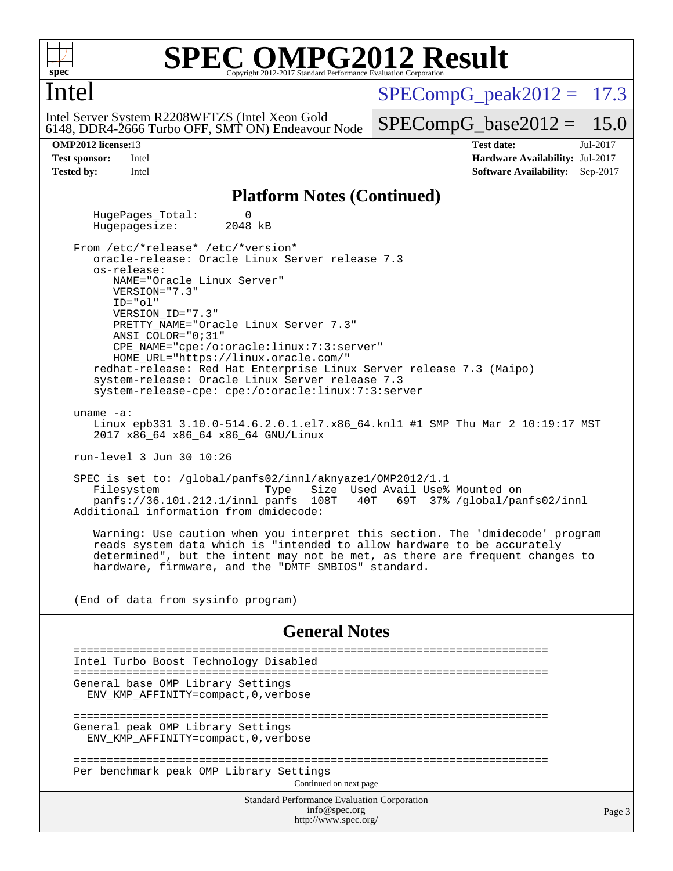

### **SPEC ONPG2012 Result** Copyright 2012-2017 Standard Performance Evaluation

### Intel

 $SPECompG<sub>p</sub>eak2012 = 17.3$ 

6148, DDR4-2666 Turbo OFF, SMT ON) Endeavour Node Intel Server System R2208WFTZS (Intel Xeon Gold

 $SPECompG_base2012 = 15.0$  $SPECompG_base2012 = 15.0$ 

**[OMP2012 license:](http://www.spec.org/auto/omp2012/Docs/result-fields.html#OMP2012license)**13 **[Test date:](http://www.spec.org/auto/omp2012/Docs/result-fields.html#Testdate)** Jul-2017 **[Test sponsor:](http://www.spec.org/auto/omp2012/Docs/result-fields.html#Testsponsor)** Intel **[Hardware Availability:](http://www.spec.org/auto/omp2012/Docs/result-fields.html#HardwareAvailability)** Jul-2017 **[Tested by:](http://www.spec.org/auto/omp2012/Docs/result-fields.html#Testedby)** Intel **[Software Availability:](http://www.spec.org/auto/omp2012/Docs/result-fields.html#SoftwareAvailability)** Sep-2017

### **[Platform Notes \(Continued\)](http://www.spec.org/auto/omp2012/Docs/result-fields.html#PlatformNotes)**

HugePages\_Total: 0<br>Hugepagesize: 2048 kB Hugepagesize:

 From /etc/\*release\* /etc/\*version\* oracle-release: Oracle Linux Server release 7.3 os-release: NAME="Oracle Linux Server" VERSION="7.3" ID="ol" VERSION\_ID="7.3" PRETTY\_NAME="Oracle Linux Server 7.3" ANSI\_COLOR="0;31" CPE\_NAME="cpe:/o:oracle:linux:7:3:server" HOME\_URL="<https://linux.oracle.com/"> redhat-release: Red Hat Enterprise Linux Server release 7.3 (Maipo) system-release: Oracle Linux Server release 7.3 system-release-cpe: cpe:/o:oracle:linux:7:3:server

uname -a:

 Linux epb331 3.10.0-514.6.2.0.1.el7.x86\_64.knl1 #1 SMP Thu Mar 2 10:19:17 MST 2017 x86\_64 x86\_64 x86\_64 GNU/Linux

run-level 3 Jun 30 10:26

 SPEC is set to: /global/panfs02/innl/aknyaze1/OMP2012/1.1 Size Used Avail Use% Mounted on panfs://36.101.212.1/innl panfs 108T 40T 69T 37% /global/panfs02/innl Additional information from dmidecode:

 Warning: Use caution when you interpret this section. The 'dmidecode' program reads system data which is "intended to allow hardware to be accurately determined", but the intent may not be met, as there are frequent changes to hardware, firmware, and the "DMTF SMBIOS" standard.

(End of data from sysinfo program)

### **[General Notes](http://www.spec.org/auto/omp2012/Docs/result-fields.html#GeneralNotes)**

Standard Performance Evaluation Corporation ======================================================================== Intel Turbo Boost Technology Disabled ======================================================================== General base OMP Library Settings ENV\_KMP\_AFFINITY=compact,0,verbose ======================================================================== General peak OMP Library Settings ENV\_KMP\_AFFINITY=compact,0,verbose ======================================================================== Per benchmark peak OMP Library Settings Continued on next page

[info@spec.org](mailto:info@spec.org) <http://www.spec.org/>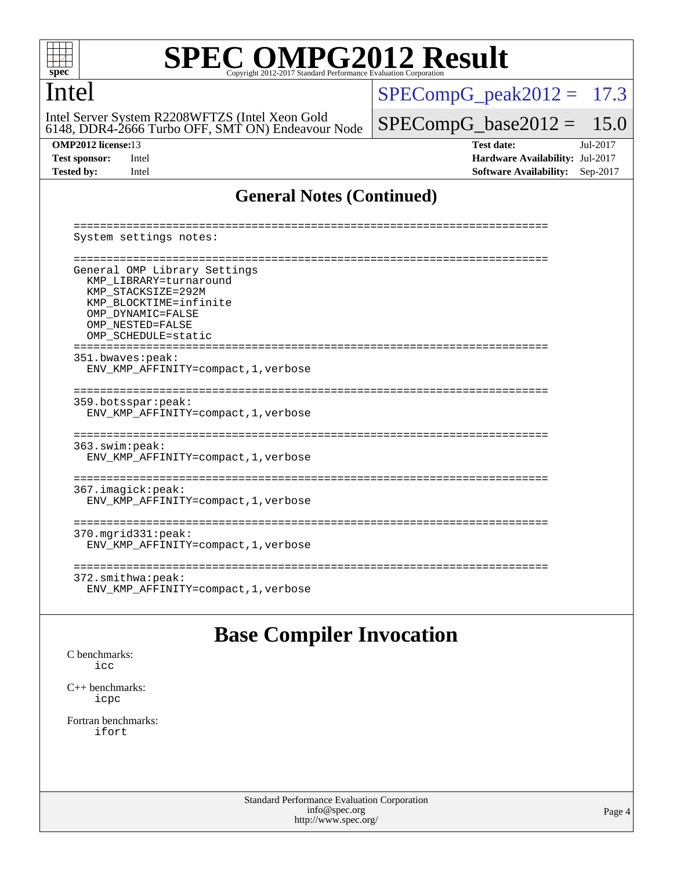

### Intel

6148, DDR4-2666 Turbo OFF, SMT ON) Endeavour Node Intel Server System R2208WFTZS (Intel Xeon Gold

 $SPECompG_peak2012 = 17.3$  $SPECompG_peak2012 = 17.3$ 

 $SPECompG_base2012 = 15.0$  $SPECompG_base2012 = 15.0$ 

**[OMP2012 license:](http://www.spec.org/auto/omp2012/Docs/result-fields.html#OMP2012license)**13 **[Test date:](http://www.spec.org/auto/omp2012/Docs/result-fields.html#Testdate)** Jul-2017 **[Test sponsor:](http://www.spec.org/auto/omp2012/Docs/result-fields.html#Testsponsor)** Intel **[Hardware Availability:](http://www.spec.org/auto/omp2012/Docs/result-fields.html#HardwareAvailability)** Jul-2017 **[Tested by:](http://www.spec.org/auto/omp2012/Docs/result-fields.html#Testedby)** Intel **[Software Availability:](http://www.spec.org/auto/omp2012/Docs/result-fields.html#SoftwareAvailability)** Sep-2017

### **[General Notes \(Continued\)](http://www.spec.org/auto/omp2012/Docs/result-fields.html#GeneralNotes)**

 ======================================================================== System settings notes: ======================================================================== General OMP Library Settings KMP\_LIBRARY=turnaround KMP\_STACKSIZE=292M KMP\_BLOCKTIME=infinite OMP\_DYNAMIC=FALSE OMP\_NESTED=FALSE OMP\_SCHEDULE=static ======================================================================== 351.bwaves:peak: ENV\_KMP\_AFFINITY=compact,1,verbose ======================================================================== 359.botsspar:peak: ENV\_KMP\_AFFINITY=compact,1,verbose ======================================================================== 363.swim:peak: ENV\_KMP\_AFFINITY=compact,1,verbose ======================================================================== 367.imagick:peak: ENV\_KMP\_AFFINITY=compact,1,verbose ======================================================================== 370.mgrid331:peak: ENV\_KMP\_AFFINITY=compact,1,verbose ======================================================================== 372.smithwa:peak: ENV\_KMP\_AFFINITY=compact,1,verbose

## **[Base Compiler Invocation](http://www.spec.org/auto/omp2012/Docs/result-fields.html#BaseCompilerInvocation)**

[C benchmarks](http://www.spec.org/auto/omp2012/Docs/result-fields.html#Cbenchmarks): [icc](http://www.spec.org/omp2012/results/res2017q3/omp2012-20170704-00106.flags.html#user_CCbase_intel_icc_a87c68a857bc5ec5362391a49d3a37a6)

[C++ benchmarks:](http://www.spec.org/auto/omp2012/Docs/result-fields.html#CXXbenchmarks) [icpc](http://www.spec.org/omp2012/results/res2017q3/omp2012-20170704-00106.flags.html#user_CXXbase_intel_icpc_2d899f8d163502b12eb4a60069f80c1c)

[Fortran benchmarks](http://www.spec.org/auto/omp2012/Docs/result-fields.html#Fortranbenchmarks): [ifort](http://www.spec.org/omp2012/results/res2017q3/omp2012-20170704-00106.flags.html#user_FCbase_intel_ifort_8a5e5e06b19a251bdeaf8fdab5d62f20)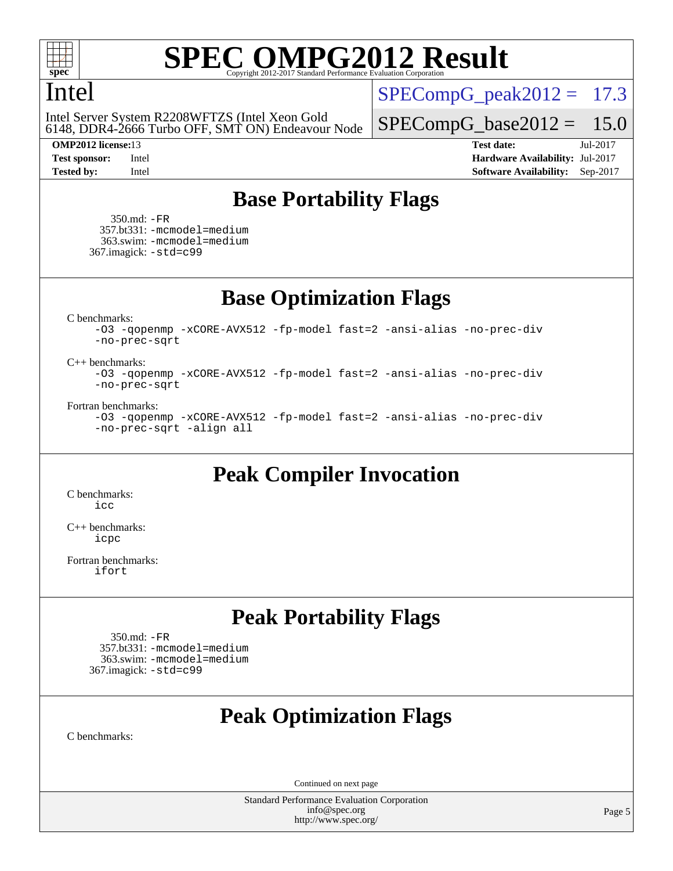

### Intel

6148, DDR4-2666 Turbo OFF, SMT ON) Endeavour Node Intel Server System R2208WFTZS (Intel Xeon Gold

 $SPECompG<sub>peak2012</sub> = 17.3$ 

 $SPECompG_base2012 = 15.0$  $SPECompG_base2012 = 15.0$ 

**[OMP2012 license:](http://www.spec.org/auto/omp2012/Docs/result-fields.html#OMP2012license)**13 **[Test date:](http://www.spec.org/auto/omp2012/Docs/result-fields.html#Testdate)** Jul-2017 **[Test sponsor:](http://www.spec.org/auto/omp2012/Docs/result-fields.html#Testsponsor)** Intel **[Hardware Availability:](http://www.spec.org/auto/omp2012/Docs/result-fields.html#HardwareAvailability)** Jul-2017 **[Tested by:](http://www.spec.org/auto/omp2012/Docs/result-fields.html#Testedby)** Intel **[Software Availability:](http://www.spec.org/auto/omp2012/Docs/result-fields.html#SoftwareAvailability)** Sep-2017

## **[Base Portability Flags](http://www.spec.org/auto/omp2012/Docs/result-fields.html#BasePortabilityFlags)**

 350.md: [-FR](http://www.spec.org/omp2012/results/res2017q3/omp2012-20170704-00106.flags.html#user_baseFPORTABILITY350_md_f-FR) 357.bt331: [-mcmodel=medium](http://www.spec.org/omp2012/results/res2017q3/omp2012-20170704-00106.flags.html#user_basePORTABILITY357_bt331_f-mcmodel_3a41622424bdd074c4f0f2d2f224c7e5) 363.swim: [-mcmodel=medium](http://www.spec.org/omp2012/results/res2017q3/omp2012-20170704-00106.flags.html#user_basePORTABILITY363_swim_f-mcmodel_3a41622424bdd074c4f0f2d2f224c7e5) 367.imagick: [-std=c99](http://www.spec.org/omp2012/results/res2017q3/omp2012-20170704-00106.flags.html#user_baseCPORTABILITY367_imagick_f-std_2ec6533b6e06f1c4a6c9b78d9e9cde24)

**[Base Optimization Flags](http://www.spec.org/auto/omp2012/Docs/result-fields.html#BaseOptimizationFlags)**

[C benchmarks](http://www.spec.org/auto/omp2012/Docs/result-fields.html#Cbenchmarks):

[-O3](http://www.spec.org/omp2012/results/res2017q3/omp2012-20170704-00106.flags.html#user_CCbase_f-O3) [-qopenmp](http://www.spec.org/omp2012/results/res2017q3/omp2012-20170704-00106.flags.html#user_CCbase_f-qopenmp) [-xCORE-AVX512](http://www.spec.org/omp2012/results/res2017q3/omp2012-20170704-00106.flags.html#user_CCbase_f-xCORE-AVX512) [-fp-model fast=2](http://www.spec.org/omp2012/results/res2017q3/omp2012-20170704-00106.flags.html#user_CCbase_f-fp-model_a7fb8ccb7275e23f0079632c153cfcab) [-ansi-alias](http://www.spec.org/omp2012/results/res2017q3/omp2012-20170704-00106.flags.html#user_CCbase_f-ansi-alias) [-no-prec-div](http://www.spec.org/omp2012/results/res2017q3/omp2012-20170704-00106.flags.html#user_CCbase_f-no-prec-div) [-no-prec-sqrt](http://www.spec.org/omp2012/results/res2017q3/omp2012-20170704-00106.flags.html#user_CCbase_f-no-prec-sqrt)

### [C++ benchmarks:](http://www.spec.org/auto/omp2012/Docs/result-fields.html#CXXbenchmarks)

[-O3](http://www.spec.org/omp2012/results/res2017q3/omp2012-20170704-00106.flags.html#user_CXXbase_f-O3) [-qopenmp](http://www.spec.org/omp2012/results/res2017q3/omp2012-20170704-00106.flags.html#user_CXXbase_f-qopenmp) [-xCORE-AVX512](http://www.spec.org/omp2012/results/res2017q3/omp2012-20170704-00106.flags.html#user_CXXbase_f-xCORE-AVX512) [-fp-model fast=2](http://www.spec.org/omp2012/results/res2017q3/omp2012-20170704-00106.flags.html#user_CXXbase_f-fp-model_a7fb8ccb7275e23f0079632c153cfcab) [-ansi-alias](http://www.spec.org/omp2012/results/res2017q3/omp2012-20170704-00106.flags.html#user_CXXbase_f-ansi-alias) [-no-prec-div](http://www.spec.org/omp2012/results/res2017q3/omp2012-20170704-00106.flags.html#user_CXXbase_f-no-prec-div) [-no-prec-sqrt](http://www.spec.org/omp2012/results/res2017q3/omp2012-20170704-00106.flags.html#user_CXXbase_f-no-prec-sqrt)

### [Fortran benchmarks](http://www.spec.org/auto/omp2012/Docs/result-fields.html#Fortranbenchmarks):

```
-O3 -qopenmp -xCORE-AVX512 -fp-model fast=2 -ansi-alias -no-prec-div
-no-prec-sqrt -align all
```
### **[Peak Compiler Invocation](http://www.spec.org/auto/omp2012/Docs/result-fields.html#PeakCompilerInvocation)**

[C benchmarks](http://www.spec.org/auto/omp2012/Docs/result-fields.html#Cbenchmarks): [icc](http://www.spec.org/omp2012/results/res2017q3/omp2012-20170704-00106.flags.html#user_CCpeak_intel_icc_a87c68a857bc5ec5362391a49d3a37a6)

[C++ benchmarks:](http://www.spec.org/auto/omp2012/Docs/result-fields.html#CXXbenchmarks) [icpc](http://www.spec.org/omp2012/results/res2017q3/omp2012-20170704-00106.flags.html#user_CXXpeak_intel_icpc_2d899f8d163502b12eb4a60069f80c1c)

[Fortran benchmarks](http://www.spec.org/auto/omp2012/Docs/result-fields.html#Fortranbenchmarks): [ifort](http://www.spec.org/omp2012/results/res2017q3/omp2012-20170704-00106.flags.html#user_FCpeak_intel_ifort_8a5e5e06b19a251bdeaf8fdab5d62f20)

### **[Peak Portability Flags](http://www.spec.org/auto/omp2012/Docs/result-fields.html#PeakPortabilityFlags)**

 350.md: [-FR](http://www.spec.org/omp2012/results/res2017q3/omp2012-20170704-00106.flags.html#user_peakFPORTABILITY350_md_f-FR) 357.bt331: [-mcmodel=medium](http://www.spec.org/omp2012/results/res2017q3/omp2012-20170704-00106.flags.html#user_peakPORTABILITY357_bt331_f-mcmodel_3a41622424bdd074c4f0f2d2f224c7e5) 363.swim: [-mcmodel=medium](http://www.spec.org/omp2012/results/res2017q3/omp2012-20170704-00106.flags.html#user_peakPORTABILITY363_swim_f-mcmodel_3a41622424bdd074c4f0f2d2f224c7e5) 367.imagick: [-std=c99](http://www.spec.org/omp2012/results/res2017q3/omp2012-20170704-00106.flags.html#user_peakCPORTABILITY367_imagick_f-std_2ec6533b6e06f1c4a6c9b78d9e9cde24)

## **[Peak Optimization Flags](http://www.spec.org/auto/omp2012/Docs/result-fields.html#PeakOptimizationFlags)**

[C benchmarks](http://www.spec.org/auto/omp2012/Docs/result-fields.html#Cbenchmarks):

Continued on next page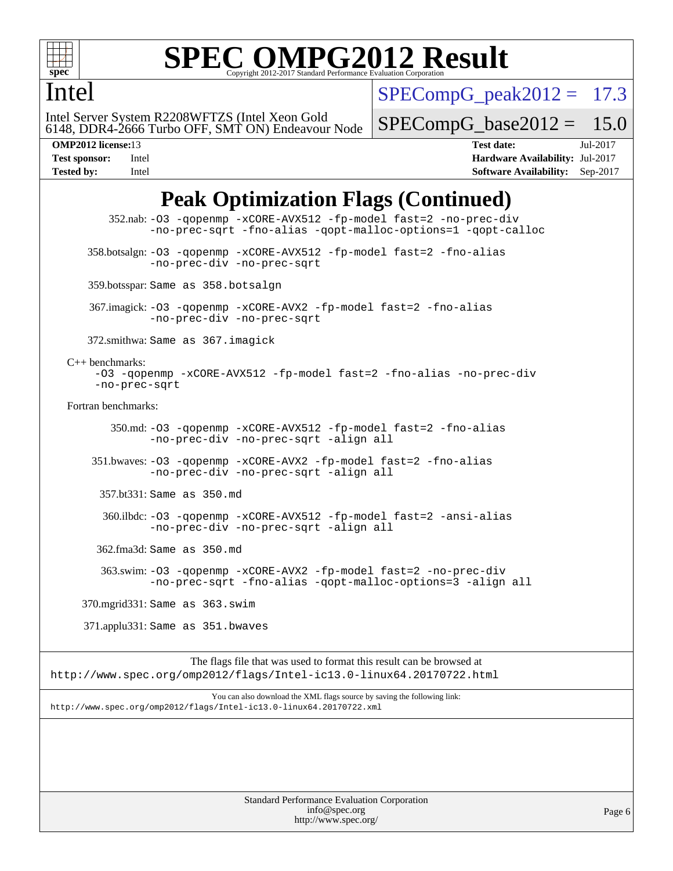

### Intel

 $SPECompG<sub>peak2012</sub> = 17.3$ 

6148, DDR4-2666 Turbo OFF, SMT ON) Endeavour Node Intel Server System R2208WFTZS (Intel Xeon Gold

 $SPECompG_base2012 = 15.0$  $SPECompG_base2012 = 15.0$ 

**[OMP2012 license:](http://www.spec.org/auto/omp2012/Docs/result-fields.html#OMP2012license)**13 **[Test date:](http://www.spec.org/auto/omp2012/Docs/result-fields.html#Testdate)** Jul-2017 **[Test sponsor:](http://www.spec.org/auto/omp2012/Docs/result-fields.html#Testsponsor)** Intel **[Hardware Availability:](http://www.spec.org/auto/omp2012/Docs/result-fields.html#HardwareAvailability)** Jul-2017 **[Tested by:](http://www.spec.org/auto/omp2012/Docs/result-fields.html#Testedby)** Intel **[Software Availability:](http://www.spec.org/auto/omp2012/Docs/result-fields.html#SoftwareAvailability)** Sep-2017

## **[Peak Optimization Flags \(Continued\)](http://www.spec.org/auto/omp2012/Docs/result-fields.html#PeakOptimizationFlags)**

 352.nab: [-O3](http://www.spec.org/omp2012/results/res2017q3/omp2012-20170704-00106.flags.html#user_peakOPTIMIZE352_nab_f-O3) [-qopenmp](http://www.spec.org/omp2012/results/res2017q3/omp2012-20170704-00106.flags.html#user_peakOPTIMIZE352_nab_f-qopenmp) [-xCORE-AVX512](http://www.spec.org/omp2012/results/res2017q3/omp2012-20170704-00106.flags.html#user_peakOPTIMIZE352_nab_f-xCORE-AVX512) [-fp-model fast=2](http://www.spec.org/omp2012/results/res2017q3/omp2012-20170704-00106.flags.html#user_peakOPTIMIZE352_nab_f-fp-model_a7fb8ccb7275e23f0079632c153cfcab) [-no-prec-div](http://www.spec.org/omp2012/results/res2017q3/omp2012-20170704-00106.flags.html#user_peakOPTIMIZE352_nab_f-no-prec-div) [-no-prec-sqrt](http://www.spec.org/omp2012/results/res2017q3/omp2012-20170704-00106.flags.html#user_peakOPTIMIZE352_nab_f-no-prec-sqrt) [-fno-alias](http://www.spec.org/omp2012/results/res2017q3/omp2012-20170704-00106.flags.html#user_peakOPTIMIZE352_nab_f-no-alias_694e77f6c5a51e658e82ccff53a9e63a) [-qopt-malloc-options=1](http://www.spec.org/omp2012/results/res2017q3/omp2012-20170704-00106.flags.html#user_peakOPTIMIZE352_nab_f-qopt-malloc-options_09a2e35df06bdeed9a565b3a2aeeffe8) [-qopt-calloc](http://www.spec.org/omp2012/results/res2017q3/omp2012-20170704-00106.flags.html#user_peakOPTIMIZE352_nab_f-qopt-calloc) 358.botsalgn: [-O3](http://www.spec.org/omp2012/results/res2017q3/omp2012-20170704-00106.flags.html#user_peakOPTIMIZE358_botsalgn_f-O3) [-qopenmp](http://www.spec.org/omp2012/results/res2017q3/omp2012-20170704-00106.flags.html#user_peakOPTIMIZE358_botsalgn_f-qopenmp) [-xCORE-AVX512](http://www.spec.org/omp2012/results/res2017q3/omp2012-20170704-00106.flags.html#user_peakOPTIMIZE358_botsalgn_f-xCORE-AVX512) [-fp-model fast=2](http://www.spec.org/omp2012/results/res2017q3/omp2012-20170704-00106.flags.html#user_peakOPTIMIZE358_botsalgn_f-fp-model_a7fb8ccb7275e23f0079632c153cfcab) [-fno-alias](http://www.spec.org/omp2012/results/res2017q3/omp2012-20170704-00106.flags.html#user_peakOPTIMIZE358_botsalgn_f-no-alias_694e77f6c5a51e658e82ccff53a9e63a) [-no-prec-div](http://www.spec.org/omp2012/results/res2017q3/omp2012-20170704-00106.flags.html#user_peakOPTIMIZE358_botsalgn_f-no-prec-div) [-no-prec-sqrt](http://www.spec.org/omp2012/results/res2017q3/omp2012-20170704-00106.flags.html#user_peakOPTIMIZE358_botsalgn_f-no-prec-sqrt) 359.botsspar: Same as 358.botsalgn 367.imagick: [-O3](http://www.spec.org/omp2012/results/res2017q3/omp2012-20170704-00106.flags.html#user_peakOPTIMIZE367_imagick_f-O3) [-qopenmp](http://www.spec.org/omp2012/results/res2017q3/omp2012-20170704-00106.flags.html#user_peakOPTIMIZE367_imagick_f-qopenmp) [-xCORE-AVX2](http://www.spec.org/omp2012/results/res2017q3/omp2012-20170704-00106.flags.html#user_peakOPTIMIZE367_imagick_f-xCORE-AVX2) [-fp-model fast=2](http://www.spec.org/omp2012/results/res2017q3/omp2012-20170704-00106.flags.html#user_peakOPTIMIZE367_imagick_f-fp-model_a7fb8ccb7275e23f0079632c153cfcab) [-fno-alias](http://www.spec.org/omp2012/results/res2017q3/omp2012-20170704-00106.flags.html#user_peakOPTIMIZE367_imagick_f-no-alias_694e77f6c5a51e658e82ccff53a9e63a) [-no-prec-div](http://www.spec.org/omp2012/results/res2017q3/omp2012-20170704-00106.flags.html#user_peakOPTIMIZE367_imagick_f-no-prec-div) [-no-prec-sqrt](http://www.spec.org/omp2012/results/res2017q3/omp2012-20170704-00106.flags.html#user_peakOPTIMIZE367_imagick_f-no-prec-sqrt) 372.smithwa: Same as 367.imagick [C++ benchmarks:](http://www.spec.org/auto/omp2012/Docs/result-fields.html#CXXbenchmarks) [-O3](http://www.spec.org/omp2012/results/res2017q3/omp2012-20170704-00106.flags.html#user_CXXpeak_f-O3) [-qopenmp](http://www.spec.org/omp2012/results/res2017q3/omp2012-20170704-00106.flags.html#user_CXXpeak_f-qopenmp) [-xCORE-AVX512](http://www.spec.org/omp2012/results/res2017q3/omp2012-20170704-00106.flags.html#user_CXXpeak_f-xCORE-AVX512) [-fp-model fast=2](http://www.spec.org/omp2012/results/res2017q3/omp2012-20170704-00106.flags.html#user_CXXpeak_f-fp-model_a7fb8ccb7275e23f0079632c153cfcab) [-fno-alias](http://www.spec.org/omp2012/results/res2017q3/omp2012-20170704-00106.flags.html#user_CXXpeak_f-no-alias_694e77f6c5a51e658e82ccff53a9e63a) [-no-prec-div](http://www.spec.org/omp2012/results/res2017q3/omp2012-20170704-00106.flags.html#user_CXXpeak_f-no-prec-div) [-no-prec-sqrt](http://www.spec.org/omp2012/results/res2017q3/omp2012-20170704-00106.flags.html#user_CXXpeak_f-no-prec-sqrt) [Fortran benchmarks](http://www.spec.org/auto/omp2012/Docs/result-fields.html#Fortranbenchmarks): 350.md: [-O3](http://www.spec.org/omp2012/results/res2017q3/omp2012-20170704-00106.flags.html#user_peakOPTIMIZE350_md_f-O3) [-qopenmp](http://www.spec.org/omp2012/results/res2017q3/omp2012-20170704-00106.flags.html#user_peakOPTIMIZE350_md_f-qopenmp) [-xCORE-AVX512](http://www.spec.org/omp2012/results/res2017q3/omp2012-20170704-00106.flags.html#user_peakOPTIMIZE350_md_f-xCORE-AVX512) [-fp-model fast=2](http://www.spec.org/omp2012/results/res2017q3/omp2012-20170704-00106.flags.html#user_peakOPTIMIZE350_md_f-fp-model_a7fb8ccb7275e23f0079632c153cfcab) [-fno-alias](http://www.spec.org/omp2012/results/res2017q3/omp2012-20170704-00106.flags.html#user_peakOPTIMIZE350_md_f-no-alias_694e77f6c5a51e658e82ccff53a9e63a) [-no-prec-div](http://www.spec.org/omp2012/results/res2017q3/omp2012-20170704-00106.flags.html#user_peakOPTIMIZE350_md_f-no-prec-div) [-no-prec-sqrt](http://www.spec.org/omp2012/results/res2017q3/omp2012-20170704-00106.flags.html#user_peakOPTIMIZE350_md_f-no-prec-sqrt) [-align all](http://www.spec.org/omp2012/results/res2017q3/omp2012-20170704-00106.flags.html#user_peakFOPTIMIZE350_md_f-align_1ebfa66158b49aff21b037afc4046011) 351.bwaves: [-O3](http://www.spec.org/omp2012/results/res2017q3/omp2012-20170704-00106.flags.html#user_peakOPTIMIZE351_bwaves_f-O3) [-qopenmp](http://www.spec.org/omp2012/results/res2017q3/omp2012-20170704-00106.flags.html#user_peakOPTIMIZE351_bwaves_f-qopenmp) [-xCORE-AVX2](http://www.spec.org/omp2012/results/res2017q3/omp2012-20170704-00106.flags.html#user_peakOPTIMIZE351_bwaves_f-xCORE-AVX2) [-fp-model fast=2](http://www.spec.org/omp2012/results/res2017q3/omp2012-20170704-00106.flags.html#user_peakOPTIMIZE351_bwaves_f-fp-model_a7fb8ccb7275e23f0079632c153cfcab) [-fno-alias](http://www.spec.org/omp2012/results/res2017q3/omp2012-20170704-00106.flags.html#user_peakOPTIMIZE351_bwaves_f-no-alias_694e77f6c5a51e658e82ccff53a9e63a) [-no-prec-div](http://www.spec.org/omp2012/results/res2017q3/omp2012-20170704-00106.flags.html#user_peakOPTIMIZE351_bwaves_f-no-prec-div) [-no-prec-sqrt](http://www.spec.org/omp2012/results/res2017q3/omp2012-20170704-00106.flags.html#user_peakOPTIMIZE351_bwaves_f-no-prec-sqrt) [-align all](http://www.spec.org/omp2012/results/res2017q3/omp2012-20170704-00106.flags.html#user_peakFOPTIMIZE351_bwaves_f-align_1ebfa66158b49aff21b037afc4046011) 357.bt331: Same as 350.md 360.ilbdc: [-O3](http://www.spec.org/omp2012/results/res2017q3/omp2012-20170704-00106.flags.html#user_peakOPTIMIZE360_ilbdc_f-O3) [-qopenmp](http://www.spec.org/omp2012/results/res2017q3/omp2012-20170704-00106.flags.html#user_peakOPTIMIZE360_ilbdc_f-qopenmp) [-xCORE-AVX512](http://www.spec.org/omp2012/results/res2017q3/omp2012-20170704-00106.flags.html#user_peakOPTIMIZE360_ilbdc_f-xCORE-AVX512) [-fp-model fast=2](http://www.spec.org/omp2012/results/res2017q3/omp2012-20170704-00106.flags.html#user_peakOPTIMIZE360_ilbdc_f-fp-model_a7fb8ccb7275e23f0079632c153cfcab) [-ansi-alias](http://www.spec.org/omp2012/results/res2017q3/omp2012-20170704-00106.flags.html#user_peakOPTIMIZE360_ilbdc_f-ansi-alias) [-no-prec-div](http://www.spec.org/omp2012/results/res2017q3/omp2012-20170704-00106.flags.html#user_peakOPTIMIZE360_ilbdc_f-no-prec-div) [-no-prec-sqrt](http://www.spec.org/omp2012/results/res2017q3/omp2012-20170704-00106.flags.html#user_peakOPTIMIZE360_ilbdc_f-no-prec-sqrt) [-align all](http://www.spec.org/omp2012/results/res2017q3/omp2012-20170704-00106.flags.html#user_peakFOPTIMIZE360_ilbdc_f-align_1ebfa66158b49aff21b037afc4046011) 362.fma3d: Same as 350.md 363.swim: [-O3](http://www.spec.org/omp2012/results/res2017q3/omp2012-20170704-00106.flags.html#user_peakOPTIMIZE363_swim_f-O3) [-qopenmp](http://www.spec.org/omp2012/results/res2017q3/omp2012-20170704-00106.flags.html#user_peakOPTIMIZE363_swim_f-qopenmp) [-xCORE-AVX2](http://www.spec.org/omp2012/results/res2017q3/omp2012-20170704-00106.flags.html#user_peakOPTIMIZE363_swim_f-xCORE-AVX2) [-fp-model fast=2](http://www.spec.org/omp2012/results/res2017q3/omp2012-20170704-00106.flags.html#user_peakOPTIMIZE363_swim_f-fp-model_a7fb8ccb7275e23f0079632c153cfcab) [-no-prec-div](http://www.spec.org/omp2012/results/res2017q3/omp2012-20170704-00106.flags.html#user_peakOPTIMIZE363_swim_f-no-prec-div) [-no-prec-sqrt](http://www.spec.org/omp2012/results/res2017q3/omp2012-20170704-00106.flags.html#user_peakOPTIMIZE363_swim_f-no-prec-sqrt) [-fno-alias](http://www.spec.org/omp2012/results/res2017q3/omp2012-20170704-00106.flags.html#user_peakOPTIMIZE363_swim_f-no-alias_694e77f6c5a51e658e82ccff53a9e63a) [-qopt-malloc-options=3](http://www.spec.org/omp2012/results/res2017q3/omp2012-20170704-00106.flags.html#user_peakOPTIMIZE363_swim_f-qopt-malloc-options_0fcb435012e78f27d57f473818e45fe4) [-align all](http://www.spec.org/omp2012/results/res2017q3/omp2012-20170704-00106.flags.html#user_peakFOPTIMIZE363_swim_f-align_1ebfa66158b49aff21b037afc4046011) 370.mgrid331: Same as 363.swim 371.applu331: Same as 351.bwaves The flags file that was used to format this result can be browsed at <http://www.spec.org/omp2012/flags/Intel-ic13.0-linux64.20170722.html> You can also download the XML flags source by saving the following link: <http://www.spec.org/omp2012/flags/Intel-ic13.0-linux64.20170722.xml>